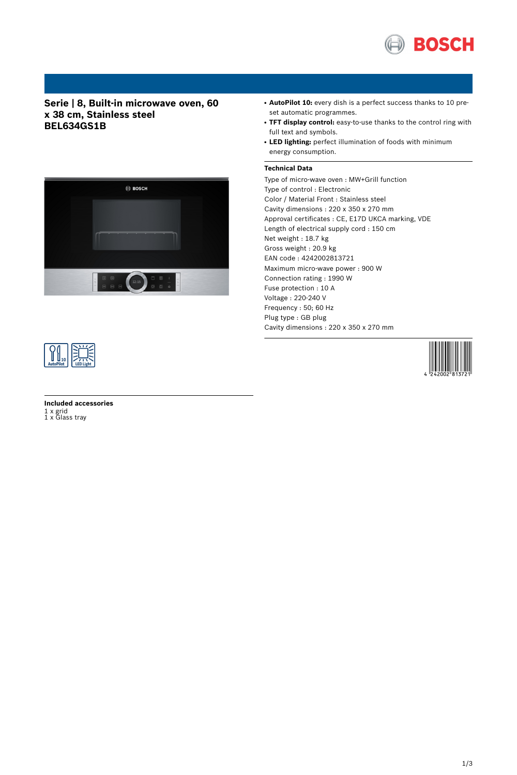

# **Serie | 8, Built-in microwave oven, 60 x 38 cm, Stainless steel BEL634GS1B**



- AutoPilot 10: every dish is a perfect success thanks to 10 preset automatic programmes.
- **TFT display control:** easy-to-use thanks to the control ring with full text and symbols.
- **LED lighting:** perfect illumination of foods with minimum energy consumption.

## **Technical Data**

Type of micro-wave oven : MW+Grill function Type of control : Electronic Color / Material Front : Stainless steel Cavity dimensions : 220 x 350 x 270 mm Approval certificates : CE, E17D UKCA marking, VDE Length of electrical supply cord : 150 cm Net weight : 18.7 kg Gross weight : 20.9 kg EAN code : 4242002813721 Maximum micro-wave power : 900 W Connection rating : 1990 W Fuse protection : 10 A Voltage : 220-240 V Frequency : 50; 60 Hz Plug type : GB plug Cavity dimensions : 220 x 350 x 270 mm





**Included accessories** 1 x grid 1 x Glass tray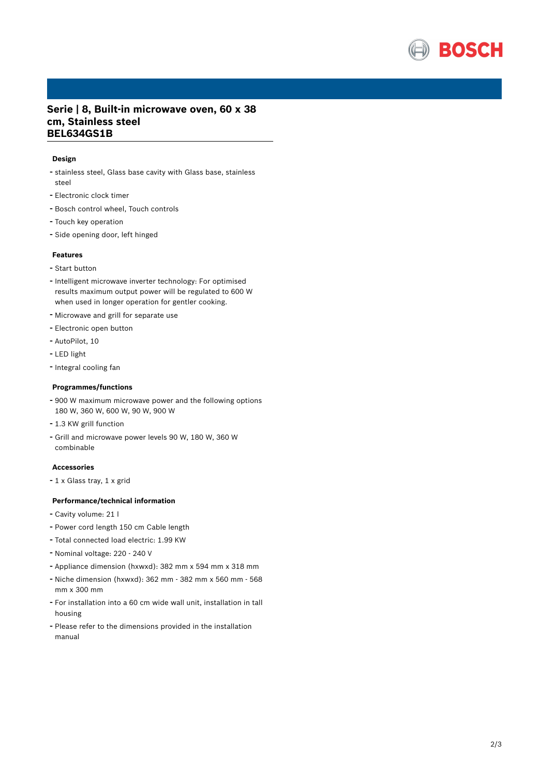

## **Serie | 8, Built-in microwave oven, 60 x 38 cm, Stainless steel BEL634GS1B**

### **Design**

- stainless steel, Glass base cavity with Glass base, stainless steel
- Electronic clock timer
- Bosch control wheel, Touch controls
- Touch key operation
- Side opening door, left hinged

#### **Features**

- Start button
- Intelligent microwave inverter technology: For optimised results maximum output power will be regulated to 600 W when used in longer operation for gentler cooking.
- Microwave and grill for separate use
- Electronic open button
- AutoPilot, <sup>10</sup>
- LED light
- Integral cooling fan

#### **Programmes/functions**

- <sup>900</sup> <sup>W</sup> maximum microwave power and the following options 180 W, 360 W, 600 W, 90 W, 900 W
- 1.3 KW grill function
- Grill and microwave power levels <sup>90</sup> W, <sup>180</sup> W, <sup>360</sup> <sup>W</sup> combinable

## **Accessories**

- <sup>1</sup> <sup>x</sup> Glass tray, <sup>1</sup> <sup>x</sup> grid

#### **Performance/technical information**

- Cavity volume: <sup>21</sup> <sup>l</sup>
- Power cord length <sup>150</sup> cm Cable length
- Total connected load electric: 1.99 KW
- Nominal voltage: <sup>220</sup> <sup>240</sup> <sup>V</sup>
- Appliance dimension (hxwxd): 382 mm x 594 mm x 318 mm
- Niche dimension (hxwxd): <sup>362</sup> mm <sup>382</sup> mm <sup>x</sup> <sup>560</sup> mm <sup>568</sup> mm x 300 mm
- For installation into <sup>a</sup> <sup>60</sup> cm wide wall unit, installation in tall housing
- Please refer to the dimensions provided in the installation manual